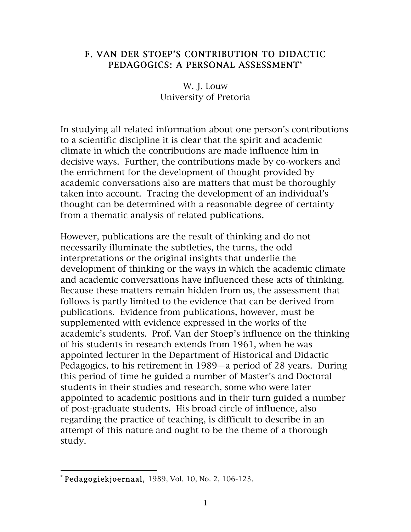## F. VAN DER STOEP'S CONTRIBUTION TO DIDACTIC PEDAGOGICS: A PERSONAL ASSESSMENT\*

W. J. Louw University of Pretoria

In studying all related information about one person's contributions to a scientific discipline it is clear that the spirit and academic climate in which the contributions are made influence him in decisive ways. Further, the contributions made by co-workers and the enrichment for the development of thought provided by academic conversations also are matters that must be thoroughly taken into account. Tracing the development of an individual's thought can be determined with a reasonable degree of certainty from a thematic analysis of related publications.

However, publications are the result of thinking and do not necessarily illuminate the subtleties, the turns, the odd interpretations or the original insights that underlie the development of thinking or the ways in which the academic climate and academic conversations have influenced these acts of thinking. Because these matters remain hidden from us, the assessment that follows is partly limited to the evidence that can be derived from publications. Evidence from publications, however, must be supplemented with evidence expressed in the works of the academic's students. Prof. Van der Stoep's influence on the thinking of his students in research extends from 1961, when he was appointed lecturer in the Department of Historical and Didactic Pedagogics, to his retirement in 1989—a period of 28 years. During this period of time he guided a number of Master's and Doctoral students in their studies and research, some who were later appointed to academic positions and in their turn guided a number of post-graduate students. His broad circle of influence, also regarding the practice of teaching, is difficult to describe in an attempt of this nature and ought to be the theme of a thorough study.

 $*$  Pedagogiekjoernaal, 1989, Vol. 10, No. 2, 106-123.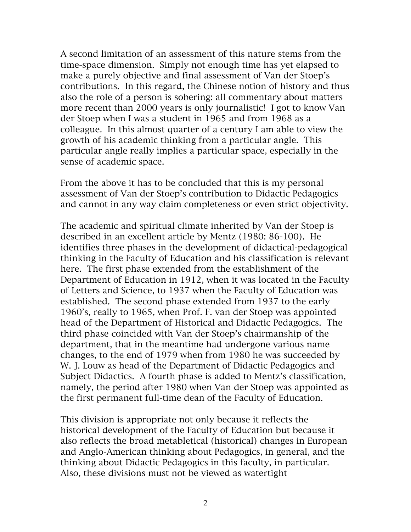A second limitation of an assessment of this nature stems from the time-space dimension. Simply not enough time has yet elapsed to make a purely objective and final assessment of Van der Stoep's contributions. In this regard, the Chinese notion of history and thus also the role of a person is sobering: all commentary about matters more recent than 2000 years is only journalistic! I got to know Van der Stoep when I was a student in 1965 and from 1968 as a colleague. In this almost quarter of a century I am able to view the growth of his academic thinking from a particular angle. This particular angle really implies a particular space, especially in the sense of academic space.

From the above it has to be concluded that this is my personal assessment of Van der Stoep's contribution to Didactic Pedagogics and cannot in any way claim completeness or even strict objectivity.

The academic and spiritual climate inherited by Van der Stoep is described in an excellent article by Mentz (1980: 86-100). He identifies three phases in the development of didactical-pedagogical thinking in the Faculty of Education and his classification is relevant here. The first phase extended from the establishment of the Department of Education in 1912, when it was located in the Faculty of Letters and Science, to 1937 when the Faculty of Education was established. The second phase extended from 1937 to the early 1960's, really to 1965, when Prof. F. van der Stoep was appointed head of the Department of Historical and Didactic Pedagogics. The third phase coincided with Van der Stoep's chairmanship of the department, that in the meantime had undergone various name changes, to the end of 1979 when from 1980 he was succeeded by W. J. Louw as head of the Department of Didactic Pedagogics and Subject Didactics. A fourth phase is added to Mentz's classification, namely, the period after 1980 when Van der Stoep was appointed as the first permanent full-time dean of the Faculty of Education.

This division is appropriate not only because it reflects the historical development of the Faculty of Education but because it also reflects the broad metabletical (historical) changes in European and Anglo-American thinking about Pedagogics, in general, and the thinking about Didactic Pedagogics in this faculty, in particular. Also, these divisions must not be viewed as watertight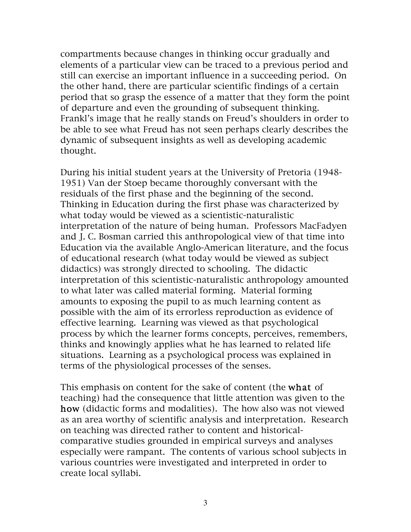compartments because changes in thinking occur gradually and elements of a particular view can be traced to a previous period and still can exercise an important influence in a succeeding period. On the other hand, there are particular scientific findings of a certain period that so grasp the essence of a matter that they form the point of departure and even the grounding of subsequent thinking. Frankl's image that he really stands on Freud's shoulders in order to be able to see what Freud has not seen perhaps clearly describes the dynamic of subsequent insights as well as developing academic thought.

During his initial student years at the University of Pretoria (1948- 1951) Van der Stoep became thoroughly conversant with the residuals of the first phase and the beginning of the second. Thinking in Education during the first phase was characterized by what today would be viewed as a scientistic-naturalistic interpretation of the nature of being human. Professors MacFadyen and J. C. Bosman carried this anthropological view of that time into Education via the available Anglo-American literature, and the focus of educational research (what today would be viewed as subject didactics) was strongly directed to schooling. The didactic interpretation of this scientistic-naturalistic anthropology amounted to what later was called material forming. Material forming amounts to exposing the pupil to as much learning content as possible with the aim of its errorless reproduction as evidence of effective learning. Learning was viewed as that psychological process by which the learner forms concepts, perceives, remembers, thinks and knowingly applies what he has learned to related life situations. Learning as a psychological process was explained in terms of the physiological processes of the senses.

This emphasis on content for the sake of content (the what of teaching) had the consequence that little attention was given to the how (didactic forms and modalities). The how also was not viewed as an area worthy of scientific analysis and interpretation. Research on teaching was directed rather to content and historicalcomparative studies grounded in empirical surveys and analyses especially were rampant. The contents of various school subjects in various countries were investigated and interpreted in order to create local syllabi.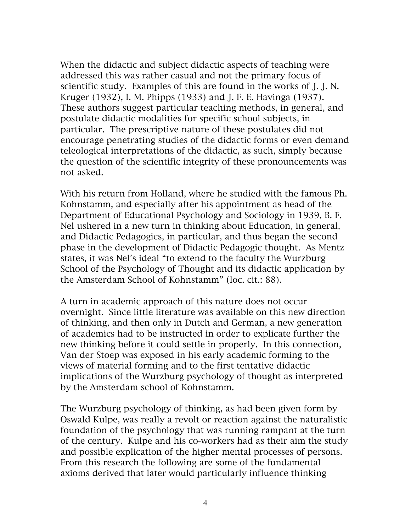When the didactic and subject didactic aspects of teaching were addressed this was rather casual and not the primary focus of scientific study. Examples of this are found in the works of J. J. N. Kruger (1932), I. M. Phipps (1933) and J. F. E. Havinga (1937). These authors suggest particular teaching methods, in general, and postulate didactic modalities for specific school subjects, in particular. The prescriptive nature of these postulates did not encourage penetrating studies of the didactic forms or even demand teleological interpretations of the didactic, as such, simply because the question of the scientific integrity of these pronouncements was not asked.

With his return from Holland, where he studied with the famous Ph. Kohnstamm, and especially after his appointment as head of the Department of Educational Psychology and Sociology in 1939, B. F. Nel ushered in a new turn in thinking about Education, in general, and Didactic Pedagogics, in particular, and thus began the second phase in the development of Didactic Pedagogic thought. As Mentz states, it was Nel's ideal "to extend to the faculty the Wurzburg School of the Psychology of Thought and its didactic application by the Amsterdam School of Kohnstamm" (loc. cit.: 88).

A turn in academic approach of this nature does not occur overnight. Since little literature was available on this new direction of thinking, and then only in Dutch and German, a new generation of academics had to be instructed in order to explicate further the new thinking before it could settle in properly. In this connection, Van der Stoep was exposed in his early academic forming to the views of material forming and to the first tentative didactic implications of the Wurzburg psychology of thought as interpreted by the Amsterdam school of Kohnstamm.

The Wurzburg psychology of thinking, as had been given form by Oswald Kulpe, was really a revolt or reaction against the naturalistic foundation of the psychology that was running rampant at the turn of the century. Kulpe and his co-workers had as their aim the study and possible explication of the higher mental processes of persons. From this research the following are some of the fundamental axioms derived that later would particularly influence thinking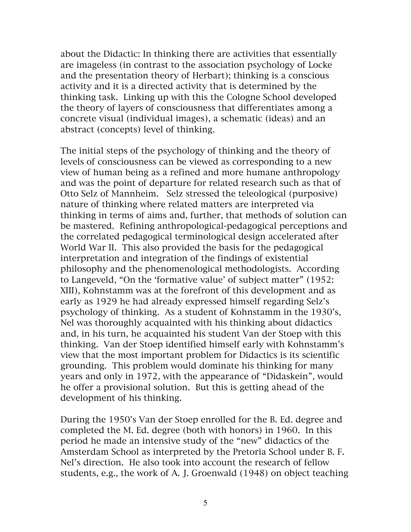about the Didactic: In thinking there are activities that essentially are imageless (in contrast to the association psychology of Locke and the presentation theory of Herbart); thinking is a conscious activity and it is a directed activity that is determined by the thinking task. Linking up with this the Cologne School developed the theory of layers of consciousness that differentiates among a concrete visual (individual images), a schematic (ideas) and an abstract (concepts) level of thinking.

The initial steps of the psychology of thinking and the theory of levels of consciousness can be viewed as corresponding to a new view of human being as a refined and more humane anthropology and was the point of departure for related research such as that of Otto Selz of Mannheim. Selz stressed the teleological (purposive) nature of thinking where related matters are interpreted via thinking in terms of aims and, further, that methods of solution can be mastered. Refining anthropological-pedagogical perceptions and the correlated pedagogical terminological design accelerated after World War II. This also provided the basis for the pedagogical interpretation and integration of the findings of existential philosophy and the phenomenological methodologists. According to Langeveld, "On the 'formative value' of subject matter" (1952: XIII), Kohnstamm was at the forefront of this development and as early as 1929 he had already expressed himself regarding Selz's psychology of thinking. As a student of Kohnstamm in the 1930's, Nel was thoroughly acquainted with his thinking about didactics and, in his turn, he acquainted his student Van der Stoep with this thinking. Van der Stoep identified himself early with Kohnstamm's view that the most important problem for Didactics is its scientific grounding. This problem would dominate his thinking for many years and only in 1972, with the appearance of "Didaskein", would he offer a provisional solution. But this is getting ahead of the development of his thinking.

During the 1950's Van der Stoep enrolled for the B. Ed. degree and completed the M. Ed. degree (both with honors) in 1960. In this period he made an intensive study of the "new" didactics of the Amsterdam School as interpreted by the Pretoria School under B. F. Nel's direction. He also took into account the research of fellow students, e.g., the work of A. J. Groenwald (1948) on object teaching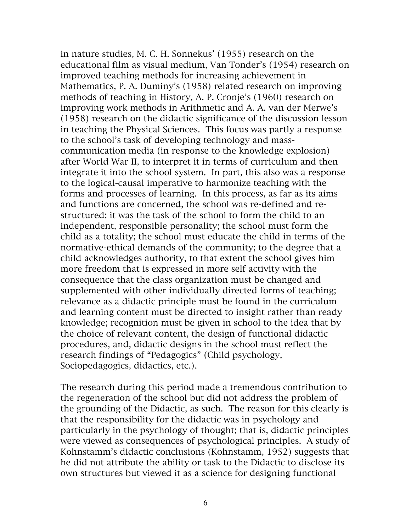in nature studies, M. C. H. Sonnekus' (1955) research on the educational film as visual medium, Van Tonder's (1954) research on improved teaching methods for increasing achievement in Mathematics, P. A. Duminy's (1958) related research on improving methods of teaching in History, A. P. Cronje's (1960) research on improving work methods in Arithmetic and A. A. van der Merwe's (1958) research on the didactic significance of the discussion lesson in teaching the Physical Sciences. This focus was partly a response to the school's task of developing technology and masscommunication media (in response to the knowledge explosion) after World War II, to interpret it in terms of curriculum and then integrate it into the school system. In part, this also was a response to the logical-causal imperative to harmonize teaching with the forms and processes of learning. In this process, as far as its aims and functions are concerned, the school was re-defined and restructured: it was the task of the school to form the child to an independent, responsible personality; the school must form the child as a totality; the school must educate the child in terms of the normative-ethical demands of the community; to the degree that a child acknowledges authority, to that extent the school gives him more freedom that is expressed in more self activity with the consequence that the class organization must be changed and supplemented with other individually directed forms of teaching; relevance as a didactic principle must be found in the curriculum and learning content must be directed to insight rather than ready knowledge; recognition must be given in school to the idea that by the choice of relevant content, the design of functional didactic procedures, and, didactic designs in the school must reflect the research findings of "Pedagogics" (Child psychology, Sociopedagogics, didactics, etc.).

The research during this period made a tremendous contribution to the regeneration of the school but did not address the problem of the grounding of the Didactic, as such. The reason for this clearly is that the responsibility for the didactic was in psychology and particularly in the psychology of thought; that is, didactic principles were viewed as consequences of psychological principles. A study of Kohnstamm's didactic conclusions (Kohnstamm, 1952) suggests that he did not attribute the ability or task to the Didactic to disclose its own structures but viewed it as a science for designing functional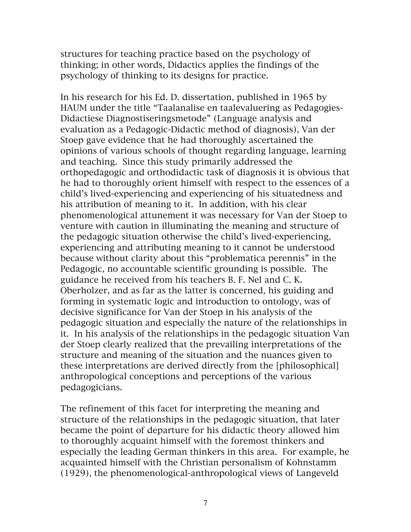structures for teaching practice based on the psychology of thinking; in other words, Didactics applies the findings of the psychology of thinking to its designs for practice.

In his research for his Ed. D. dissertation, published in 1965 by HAUM under the title "Taalanalise en taalevaluering as Pedagogies-Didactiese Diagnostiseringsmetode" (Language analysis and evaluation as a Pedagogic-Didactic method of diagnosis), Van der Stoep gave evidence that he had thoroughly ascertained the opinions of various schools of thought regarding language, learning and teaching. Since this study primarily addressed the orthopedagogic and orthodidactic task of diagnosis it is obvious that he had to thoroughly orient himself with respect to the essences of a child's lived-experiencing and experiencing of his situatedness and his attribution of meaning to it. In addition, with his clear phenomenological attunement it was necessary for Van der Stoep to venture with caution in illuminating the meaning and structure of the pedagogic situation otherwise the child's lived-experiencing, experiencing and attributing meaning to it cannot be understood because without clarity about this "problematica perennis" in the Pedagogic, no accountable scientific grounding is possible. The guidance he received from his teachers B. F. Nel and C. K. Oberholzer, and as far as the latter is concerned, his guiding and forming in systematic logic and introduction to ontology, was of decisive significance for Van der Stoep in his analysis of the pedagogic situation and especially the nature of the relationships in it. In his analysis of the relationships in the pedagogic situation Van der Stoep clearly realized that the prevailing interpretations of the structure and meaning of the situation and the nuances given to these interpretations are derived directly from the [philosophical] anthropological conceptions and perceptions of the various pedagogicians.

The refinement of this facet for interpreting the meaning and structure of the relationships in the pedagogic situation, that later became the point of departure for his didactic theory allowed him to thoroughly acquaint himself with the foremost thinkers and especially the leading German thinkers in this area. For example, he acquainted himself with the Christian personalism of Kohnstamm (1929), the phenomenological-anthropological views of Langeveld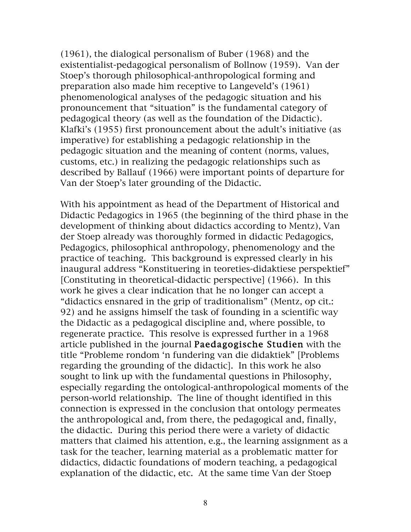(1961), the dialogical personalism of Buber (1968) and the existentialist-pedagogical personalism of Bollnow (1959). Van der Stoep's thorough philosophical-anthropological forming and preparation also made him receptive to Langeveld's (1961) phenomenological analyses of the pedagogic situation and his pronouncement that "situation" is the fundamental category of pedagogical theory (as well as the foundation of the Didactic). Klafki's (1955) first pronouncement about the adult's initiative (as imperative) for establishing a pedagogic relationship in the pedagogic situation and the meaning of content (norms, values, customs, etc.) in realizing the pedagogic relationships such as described by Ballauf (1966) were important points of departure for Van der Stoep's later grounding of the Didactic.

With his appointment as head of the Department of Historical and Didactic Pedagogics in 1965 (the beginning of the third phase in the development of thinking about didactics according to Mentz), Van der Stoep already was thoroughly formed in didactic Pedagogics, Pedagogics, philosophical anthropology, phenomenology and the practice of teaching. This background is expressed clearly in his inaugural address "Konstituering in teoreties-didaktiese perspektief" [Constituting in theoretical-didactic perspective] (1966). In this work he gives a clear indication that he no longer can accept a "didactics ensnared in the grip of traditionalism" (Mentz, op cit.: 92) and he assigns himself the task of founding in a scientific way the Didactic as a pedagogical discipline and, where possible, to regenerate practice. This resolve is expressed further in a 1968 article published in the journal Paedagogische Studien with the title "Probleme rondom 'n fundering van die didaktiek" [Problems regarding the grounding of the didactic]. In this work he also sought to link up with the fundamental questions in Philosophy, especially regarding the ontological-anthropological moments of the person-world relationship. The line of thought identified in this connection is expressed in the conclusion that ontology permeates the anthropological and, from there, the pedagogical and, finally, the didactic. During this period there were a variety of didactic matters that claimed his attention, e.g., the learning assignment as a task for the teacher, learning material as a problematic matter for didactics, didactic foundations of modern teaching, a pedagogical explanation of the didactic, etc. At the same time Van der Stoep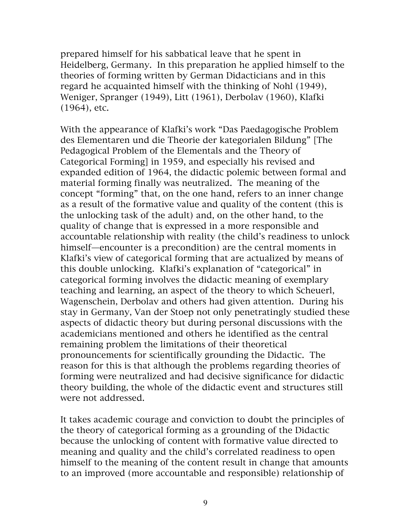prepared himself for his sabbatical leave that he spent in Heidelberg, Germany. In this preparation he applied himself to the theories of forming written by German Didacticians and in this regard he acquainted himself with the thinking of Nohl (1949), Weniger, Spranger (1949), Litt (1961), Derbolav (1960), Klafki (1964), etc.

With the appearance of Klafki's work "Das Paedagogische Problem des Elementaren und die Theorie der kategorialen Bildung" [The Pedagogical Problem of the Elementals and the Theory of Categorical Forming] in 1959, and especially his revised and expanded edition of 1964, the didactic polemic between formal and material forming finally was neutralized. The meaning of the concept "forming" that, on the one hand, refers to an inner change as a result of the formative value and quality of the content (this is the unlocking task of the adult) and, on the other hand, to the quality of change that is expressed in a more responsible and accountable relationship with reality (the child's readiness to unlock himself—encounter is a precondition) are the central moments in Klafki's view of categorical forming that are actualized by means of this double unlocking. Klafki's explanation of "categorical" in categorical forming involves the didactic meaning of exemplary teaching and learning, an aspect of the theory to which Scheuerl, Wagenschein, Derbolav and others had given attention. During his stay in Germany, Van der Stoep not only penetratingly studied these aspects of didactic theory but during personal discussions with the academicians mentioned and others he identified as the central remaining problem the limitations of their theoretical pronouncements for scientifically grounding the Didactic. The reason for this is that although the problems regarding theories of forming were neutralized and had decisive significance for didactic theory building, the whole of the didactic event and structures still were not addressed.

It takes academic courage and conviction to doubt the principles of the theory of categorical forming as a grounding of the Didactic because the unlocking of content with formative value directed to meaning and quality and the child's correlated readiness to open himself to the meaning of the content result in change that amounts to an improved (more accountable and responsible) relationship of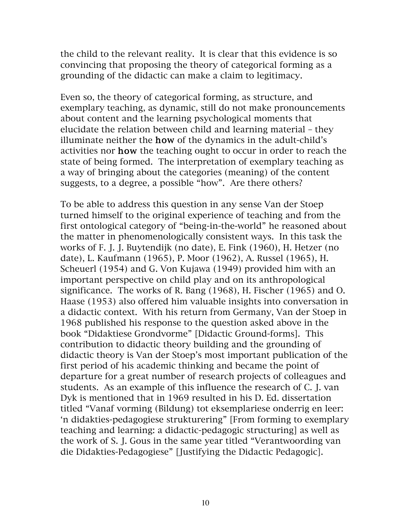the child to the relevant reality. It is clear that this evidence is so convincing that proposing the theory of categorical forming as a grounding of the didactic can make a claim to legitimacy.

Even so, the theory of categorical forming, as structure, and exemplary teaching, as dynamic, still do not make pronouncements about content and the learning psychological moments that elucidate the relation between child and learning material – they illuminate neither the how of the dynamics in the adult-child's activities nor how the teaching ought to occur in order to reach the state of being formed. The interpretation of exemplary teaching as a way of bringing about the categories (meaning) of the content suggests, to a degree, a possible "how". Are there others?

To be able to address this question in any sense Van der Stoep turned himself to the original experience of teaching and from the first ontological category of "being-in-the-world" he reasoned about the matter in phenomenologically consistent ways. In this task the works of F. J. J. Buytendijk (no date), E. Fink (1960), H. Hetzer (no date), L. Kaufmann (1965), P. Moor (1962), A. Russel (1965), H. Scheuerl (1954) and G. Von Kujawa (1949) provided him with an important perspective on child play and on its anthropological significance. The works of R. Bang (1968), H. Fischer (1965) and O. Haase (1953) also offered him valuable insights into conversation in a didactic context. With his return from Germany, Van der Stoep in 1968 published his response to the question asked above in the book "Didaktiese Grondvorme" [Didactic Ground-forms]. This contribution to didactic theory building and the grounding of didactic theory is Van der Stoep's most important publication of the first period of his academic thinking and became the point of departure for a great number of research projects of colleagues and students. As an example of this influence the research of C. J. van Dyk is mentioned that in 1969 resulted in his D. Ed. dissertation titled "Vanaf vorming (Bildung) tot eksemplariese onderrig en leer: 'n didakties-pedagogiese strukturering" [From forming to exemplary teaching and learning: a didactic-pedagogic structuring] as well as the work of S. J. Gous in the same year titled "Verantwoording van die Didakties-Pedagogiese" [Justifying the Didactic Pedagogic].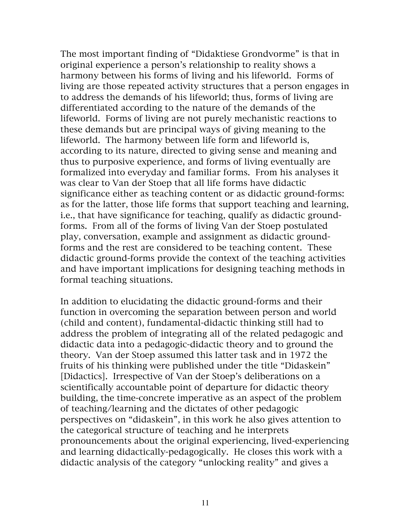The most important finding of "Didaktiese Grondvorme" is that in original experience a person's relationship to reality shows a harmony between his forms of living and his lifeworld. Forms of living are those repeated activity structures that a person engages in to address the demands of his lifeworld; thus, forms of living are differentiated according to the nature of the demands of the lifeworld. Forms of living are not purely mechanistic reactions to these demands but are principal ways of giving meaning to the lifeworld. The harmony between life form and lifeworld is, according to its nature, directed to giving sense and meaning and thus to purposive experience, and forms of living eventually are formalized into everyday and familiar forms. From his analyses it was clear to Van der Stoep that all life forms have didactic significance either as teaching content or as didactic ground-forms: as for the latter, those life forms that support teaching and learning, i.e., that have significance for teaching, qualify as didactic groundforms. From all of the forms of living Van der Stoep postulated play, conversation, example and assignment as didactic groundforms and the rest are considered to be teaching content. These didactic ground-forms provide the context of the teaching activities and have important implications for designing teaching methods in formal teaching situations.

In addition to elucidating the didactic ground-forms and their function in overcoming the separation between person and world (child and content), fundamental-didactic thinking still had to address the problem of integrating all of the related pedagogic and didactic data into a pedagogic-didactic theory and to ground the theory. Van der Stoep assumed this latter task and in 1972 the fruits of his thinking were published under the title "Didaskein" [Didactics]. Irrespective of Van der Stoep's deliberations on a scientifically accountable point of departure for didactic theory building, the time-concrete imperative as an aspect of the problem of teaching/learning and the dictates of other pedagogic perspectives on "didaskein", in this work he also gives attention to the categorical structure of teaching and he interprets pronouncements about the original experiencing, lived-experiencing and learning didactically-pedagogically. He closes this work with a didactic analysis of the category "unlocking reality" and gives a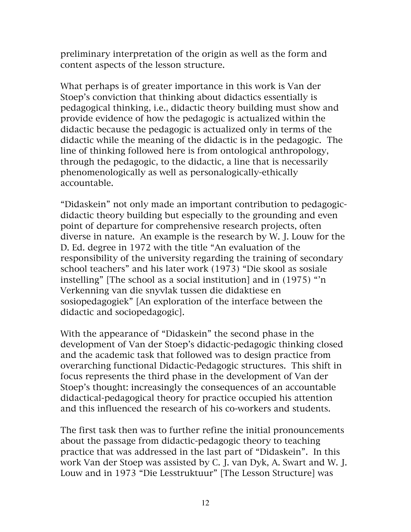preliminary interpretation of the origin as well as the form and content aspects of the lesson structure.

What perhaps is of greater importance in this work is Van der Stoep's conviction that thinking about didactics essentially is pedagogical thinking, i.e., didactic theory building must show and provide evidence of how the pedagogic is actualized within the didactic because the pedagogic is actualized only in terms of the didactic while the meaning of the didactic is in the pedagogic. The line of thinking followed here is from ontological anthropology, through the pedagogic, to the didactic, a line that is necessarily phenomenologically as well as personalogically-ethically accountable.

"Didaskein" not only made an important contribution to pedagogicdidactic theory building but especially to the grounding and even point of departure for comprehensive research projects, often diverse in nature. An example is the research by W. J. Louw for the D. Ed. degree in 1972 with the title "An evaluation of the responsibility of the university regarding the training of secondary school teachers" and his later work (1973) "Die skool as sosiale instelling" [The school as a social institution] and in (1975) "'n Verkenning van die snyvlak tussen die didaktiese en sosiopedagogiek" [An exploration of the interface between the didactic and sociopedagogic].

With the appearance of "Didaskein" the second phase in the development of Van der Stoep's didactic-pedagogic thinking closed and the academic task that followed was to design practice from overarching functional Didactic-Pedagogic structures. This shift in focus represents the third phase in the development of Van der Stoep's thought: increasingly the consequences of an accountable didactical-pedagogical theory for practice occupied his attention and this influenced the research of his co-workers and students.

The first task then was to further refine the initial pronouncements about the passage from didactic-pedagogic theory to teaching practice that was addressed in the last part of "Didaskein". In this work Van der Stoep was assisted by C. J. van Dyk, A. Swart and W. J. Louw and in 1973 "Die Lesstruktuur" [The Lesson Structure] was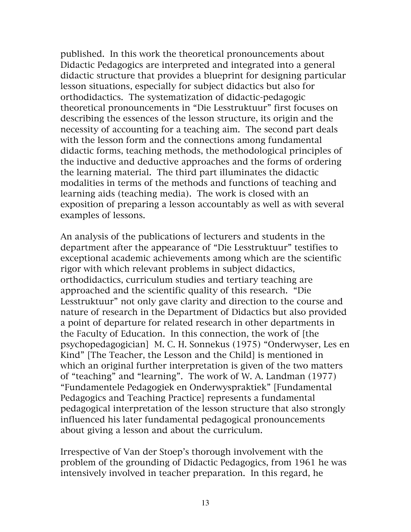published. In this work the theoretical pronouncements about Didactic Pedagogics are interpreted and integrated into a general didactic structure that provides a blueprint for designing particular lesson situations, especially for subject didactics but also for orthodidactics. The systematization of didactic-pedagogic theoretical pronouncements in "Die Lesstruktuur" first focuses on describing the essences of the lesson structure, its origin and the necessity of accounting for a teaching aim. The second part deals with the lesson form and the connections among fundamental didactic forms, teaching methods, the methodological principles of the inductive and deductive approaches and the forms of ordering the learning material. The third part illuminates the didactic modalities in terms of the methods and functions of teaching and learning aids (teaching media). The work is closed with an exposition of preparing a lesson accountably as well as with several examples of lessons.

An analysis of the publications of lecturers and students in the department after the appearance of "Die Lesstruktuur" testifies to exceptional academic achievements among which are the scientific rigor with which relevant problems in subject didactics, orthodidactics, curriculum studies and tertiary teaching are approached and the scientific quality of this research. "Die Lesstruktuur" not only gave clarity and direction to the course and nature of research in the Department of Didactics but also provided a point of departure for related research in other departments in the Faculty of Education. In this connection, the work of [the psychopedagogician] M. C. H. Sonnekus (1975) "Onderwyser, Les en Kind" [The Teacher, the Lesson and the Child] is mentioned in which an original further interpretation is given of the two matters of "teaching" and "learning". The work of W. A. Landman (1977) "Fundamentele Pedagogiek en Onderwyspraktiek" [Fundamental Pedagogics and Teaching Practice] represents a fundamental pedagogical interpretation of the lesson structure that also strongly influenced his later fundamental pedagogical pronouncements about giving a lesson and about the curriculum.

Irrespective of Van der Stoep's thorough involvement with the problem of the grounding of Didactic Pedagogics, from 1961 he was intensively involved in teacher preparation. In this regard, he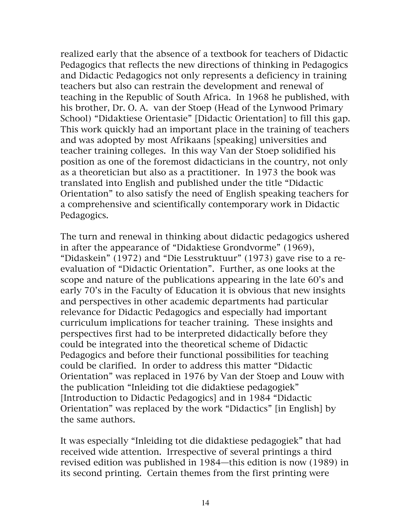realized early that the absence of a textbook for teachers of Didactic Pedagogics that reflects the new directions of thinking in Pedagogics and Didactic Pedagogics not only represents a deficiency in training teachers but also can restrain the development and renewal of teaching in the Republic of South Africa. In 1968 he published, with his brother, Dr. O. A. van der Stoep (Head of the Lynwood Primary School) "Didaktiese Orientasie" [Didactic Orientation] to fill this gap. This work quickly had an important place in the training of teachers and was adopted by most Afrikaans [speaking] universities and teacher training colleges. In this way Van der Stoep solidified his position as one of the foremost didacticians in the country, not only as a theoretician but also as a practitioner. In 1973 the book was translated into English and published under the title "Didactic Orientation" to also satisfy the need of English speaking teachers for a comprehensive and scientifically contemporary work in Didactic Pedagogics.

The turn and renewal in thinking about didactic pedagogics ushered in after the appearance of "Didaktiese Grondvorme" (1969), "Didaskein" (1972) and "Die Lesstruktuur" (1973) gave rise to a reevaluation of "Didactic Orientation". Further, as one looks at the scope and nature of the publications appearing in the late 60's and early 70's in the Faculty of Education it is obvious that new insights and perspectives in other academic departments had particular relevance for Didactic Pedagogics and especially had important curriculum implications for teacher training. These insights and perspectives first had to be interpreted didactically before they could be integrated into the theoretical scheme of Didactic Pedagogics and before their functional possibilities for teaching could be clarified. In order to address this matter "Didactic Orientation" was replaced in 1976 by Van der Stoep and Louw with the publication "Inleiding tot die didaktiese pedagogiek" [Introduction to Didactic Pedagogics] and in 1984 "Didactic Orientation" was replaced by the work "Didactics" [in English] by the same authors.

It was especially "Inleiding tot die didaktiese pedagogiek" that had received wide attention. Irrespective of several printings a third revised edition was published in 1984—this edition is now (1989) in its second printing. Certain themes from the first printing were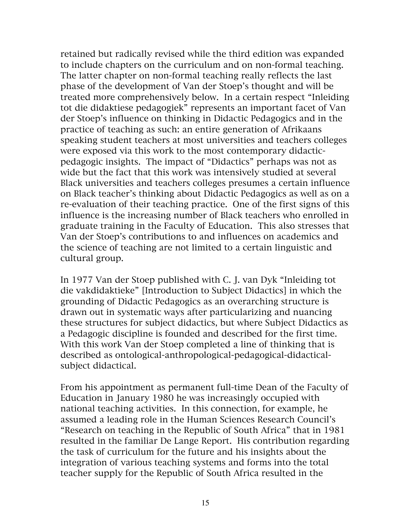retained but radically revised while the third edition was expanded to include chapters on the curriculum and on non-formal teaching. The latter chapter on non-formal teaching really reflects the last phase of the development of Van der Stoep's thought and will be treated more comprehensively below. In a certain respect "Inleiding tot die didaktiese pedagogiek" represents an important facet of Van der Stoep's influence on thinking in Didactic Pedagogics and in the practice of teaching as such: an entire generation of Afrikaans speaking student teachers at most universities and teachers colleges were exposed via this work to the most contemporary didacticpedagogic insights. The impact of "Didactics" perhaps was not as wide but the fact that this work was intensively studied at several Black universities and teachers colleges presumes a certain influence on Black teacher's thinking about Didactic Pedagogics as well as on a re-evaluation of their teaching practice. One of the first signs of this influence is the increasing number of Black teachers who enrolled in graduate training in the Faculty of Education. This also stresses that Van der Stoep's contributions to and influences on academics and the science of teaching are not limited to a certain linguistic and cultural group.

In 1977 Van der Stoep published with C. J. van Dyk "Inleiding tot die vakdidaktieke" [Introduction to Subject Didactics] in which the grounding of Didactic Pedagogics as an overarching structure is drawn out in systematic ways after particularizing and nuancing these structures for subject didactics, but where Subject Didactics as a Pedagogic discipline is founded and described for the first time. With this work Van der Stoep completed a line of thinking that is described as ontological-anthropological-pedagogical-didacticalsubject didactical.

From his appointment as permanent full-time Dean of the Faculty of Education in January 1980 he was increasingly occupied with national teaching activities. In this connection, for example, he assumed a leading role in the Human Sciences Research Council's "Research on teaching in the Republic of South Africa" that in 1981 resulted in the familiar De Lange Report. His contribution regarding the task of curriculum for the future and his insights about the integration of various teaching systems and forms into the total teacher supply for the Republic of South Africa resulted in the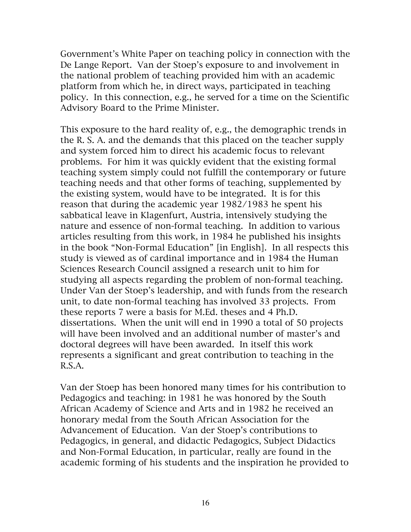Government's White Paper on teaching policy in connection with the De Lange Report. Van der Stoep's exposure to and involvement in the national problem of teaching provided him with an academic platform from which he, in direct ways, participated in teaching policy. In this connection, e.g., he served for a time on the Scientific Advisory Board to the Prime Minister.

This exposure to the hard reality of, e.g., the demographic trends in the R. S. A. and the demands that this placed on the teacher supply and system forced him to direct his academic focus to relevant problems. For him it was quickly evident that the existing formal teaching system simply could not fulfill the contemporary or future teaching needs and that other forms of teaching, supplemented by the existing system, would have to be integrated. It is for this reason that during the academic year 1982/1983 he spent his sabbatical leave in Klagenfurt, Austria, intensively studying the nature and essence of non-formal teaching. In addition to various articles resulting from this work, in 1984 he published his insights in the book "Non-Formal Education" [in English]. In all respects this study is viewed as of cardinal importance and in 1984 the Human Sciences Research Council assigned a research unit to him for studying all aspects regarding the problem of non-formal teaching. Under Van der Stoep's leadership, and with funds from the research unit, to date non-formal teaching has involved 33 projects. From these reports 7 were a basis for M.Ed. theses and 4 Ph.D. dissertations. When the unit will end in 1990 a total of 50 projects will have been involved and an additional number of master's and doctoral degrees will have been awarded. In itself this work represents a significant and great contribution to teaching in the R.S.A.

Van der Stoep has been honored many times for his contribution to Pedagogics and teaching: in 1981 he was honored by the South African Academy of Science and Arts and in 1982 he received an honorary medal from the South African Association for the Advancement of Education. Van der Stoep's contributions to Pedagogics, in general, and didactic Pedagogics, Subject Didactics and Non-Formal Education, in particular, really are found in the academic forming of his students and the inspiration he provided to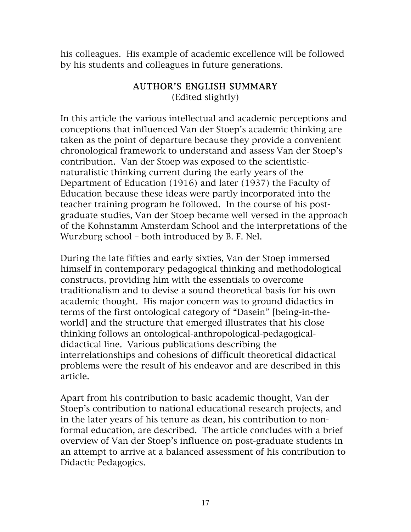his colleagues. His example of academic excellence will be followed by his students and colleagues in future generations.

## AUTHOR'S ENGLISH SUMMARY (Edited slightly)

In this article the various intellectual and academic perceptions and conceptions that influenced Van der Stoep's academic thinking are taken as the point of departure because they provide a convenient chronological framework to understand and assess Van der Stoep's contribution. Van der Stoep was exposed to the scientisticnaturalistic thinking current during the early years of the Department of Education (1916) and later (1937) the Faculty of Education because these ideas were partly incorporated into the teacher training program he followed. In the course of his postgraduate studies, Van der Stoep became well versed in the approach of the Kohnstamm Amsterdam School and the interpretations of the Wurzburg school – both introduced by B. F. Nel.

During the late fifties and early sixties, Van der Stoep immersed himself in contemporary pedagogical thinking and methodological constructs, providing him with the essentials to overcome traditionalism and to devise a sound theoretical basis for his own academic thought. His major concern was to ground didactics in terms of the first ontological category of "Dasein" [being-in-theworld] and the structure that emerged illustrates that his close thinking follows an ontological-anthropological-pedagogicaldidactical line. Various publications describing the interrelationships and cohesions of difficult theoretical didactical problems were the result of his endeavor and are described in this article.

Apart from his contribution to basic academic thought, Van der Stoep's contribution to national educational research projects, and in the later years of his tenure as dean, his contribution to nonformal education, are described. The article concludes with a brief overview of Van der Stoep's influence on post-graduate students in an attempt to arrive at a balanced assessment of his contribution to Didactic Pedagogics.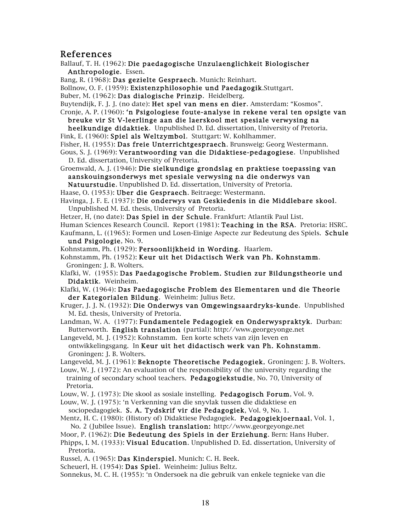## References

Ballauf, T. H. (1962): Die paedagogische Unzulaenglichkeit Biologischer Anthropologie. Essen.

Bang, R. (1968): Das gezielte Gespraech. Munich: Reinhart.

Bollnow, O. F. (1959): Existenzphilosophie und Paedagogik.Stuttgart.

Buber, M. (1962): Das dialogische Prinzip. Heidelberg.

Buytendijk, F. J. J. (no date): Het spel van mens en dier. Amsterdam: "Kosmos".

- Cronje, A. P. (1960): 'n Psigologiese foute-analyse in rekene veral ten opsigte van breuke vir St V-leerlinge aan die laerskool met spesiale verwysing na
- heelkundige didaktiek. Unpublished D. Ed. dissertation, University of Pretoria. Fink, E. (1960): Spiel als Weltzymbol. Stuttgart: W. Kohlhammer.

Fisher, H. (1955): Das freie Unterrichtgespraech. Brunsweig: Georg Westermann.

- Gous, S. J. (1969): Verantwoording van die Didaktiese-pedagogiese. Unpublished D. Ed. dissertation, University of Pretoria.
- Groenwald, A. J. (1946): Die sielkundige grondslag en praktiese toepassing van aanskouingsonderwys met spesiale verwysing na die onderwys van

Natuurstudie. Unpublished D. Ed. dissertation, University of Pretoria.

Haase, O. (1953): Uber die Gespraech. Beitraege: Westermann.

Havinga, J. F. E. (1937): Die onderwys van Geskiedenis in die Middlebare skool. Unpublished M. Ed. thesis, University of Pretoria.

Hetzer, H, (no date): Das Spiel in der Schule. Frankfurt: Atlantik Paul List.

Human Sciences Research Council. Report (1981): Teaching in the RSA. Pretoria: HSRC.

Kaufmann, L. ((1965): Formen und Losen-Einige Aspecte zur Bedeutung des Spiels. Schule und Psigologie, No. 9.

Kohnstamm, Ph. (1929): Persoonlijkheid in Wording. Haarlem.

Kohnstamm, Ph. (1952): Keur uit het Didactisch Werk van Ph. Kohnstamm. Groningen: J. B. Wolters.

Klafki, W. (1955): Das Paedagogische Problem. Studien zur Bildungstheorie und Didaktik. Weinheim.

Klafki, W. (1964): Das Paedagogische Problem des Elementaren und die Theorie der Kategorialen Bildung. Weinheim: Julius Betz.

Kruger, J. J. N. (1932): Die Onderwys van Omgewingsaardryks-kunde. Unpublished M. Ed. thesis, University of Pretoria.

Landman, W. A. (1977): Fundamentele Pedagogiek en Onderwyspraktyk. Durban: Butterworth. English translation (partial): http://www.georgeyonge.net

Langeveld, M. J. (1952): Kohnstamm. Een korte schets van zijn leven en ontwikkelingsgang. In Keur uit het didactisch werk van Ph. Kohnstamm. Groningen: J. B. Wolters.

Langeveld, M. J. (1961): Beknopte Theoretische Pedagogiek. Groningen: J. B. Wolters.

Louw, W. J. (1972): An evaluation of the responsibility of the university regarding the training of secondary school teachers. Pedagogiekstudie, No. 70, University of Pretoria.

Louw, W. J. (1973): Die skool as sosiale instelling. Pedagogisch Forum, Vol. 9.

Louw, W. J. (1975): 'n Verkenning van die snyvlak tussen die didaktiese en

sociopedagogiek. S. A. Tydskrif vir die Pedagogiek, Vol. 9, No. 1.

Mentz, H. C. (1980): (History of) Didaktiese Pedagogiek. Pedagogiekjoernaal, Vol. 1, No. 2 (Jubilee Issue). English translation: http://www.georgeyonge.net

Moor, P. (1962): Die Bedeutung des Spiels in der Erziehung. Bern: Hans Huber.

Phipps, I. M. (1933): Visual Education. Unpublished D. Ed. dissertation, University of Pretoria.

Russel, A. (1965): Das Kinderspiel. Munich: C. H. Beek.

Scheuerl, H. (1954): Das Spiel. Weinheim: Julius Beltz.

Sonnekus, M. C. H. (1955): 'n Ondersoek na die gebruik van enkele tegnieke van die